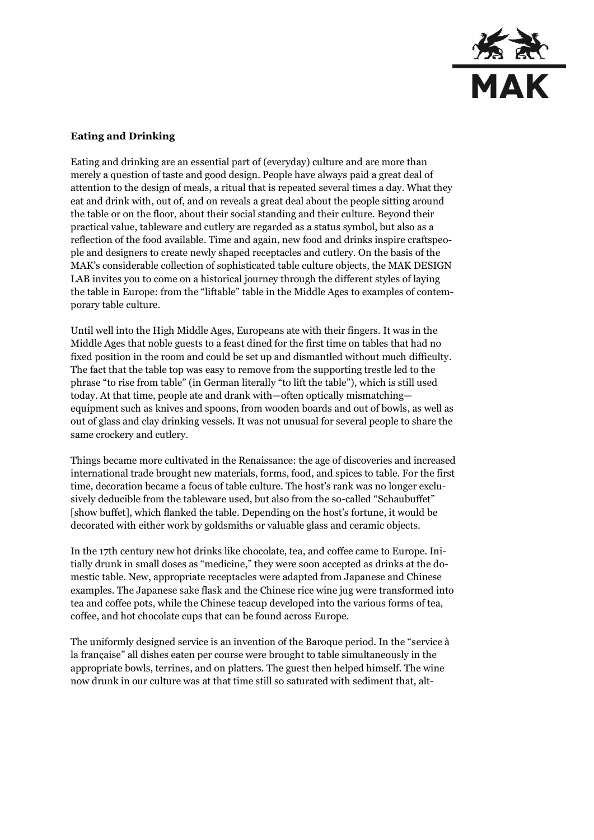

## **Eating and Drinking**

Eating and drinking are an essential part of (everyday) culture and are more than merely a question of taste and good design. People have always paid a great deal of attention to the design of meals, a ritual that is repeated several times a day. What they eat and drink with, out of, and on reveals a great deal about the people sitting around the table or on the floor, about their social standing and their culture. Beyond their practical value, tableware and cutlery are regarded as a status symbol, but also as a reflection of the food available. Time and again, new food and drinks inspire craftspeople and designers to create newly shaped receptacles and cutlery. On the basis of the MAK's considerable collection of sophisticated table culture objects, the MAK DESIGN LAB invites you to come on a historical journey through the different styles of laying the table in Europe: from the "liftable" table in the Middle Ages to examples of contemporary table culture.

Until well into the High Middle Ages, Europeans ate with their fingers. It was in the Middle Ages that noble guests to a feast dined for the first time on tables that had no fixed position in the room and could be set up and dismantled without much difficulty. The fact that the table top was easy to remove from the supporting trestle led to the phrase "to rise from table" (in German literally "to lift the table"), which is still used today. At that time, people ate and drank with—often optically mismatching equipment such as knives and spoons, from wooden boards and out of bowls, as well as out of glass and clay drinking vessels. It was not unusual for several people to share the same crockery and cutlery.

Things became more cultivated in the Renaissance: the age of discoveries and increased international trade brought new materials, forms, food, and spices to table. For the first time, decoration became a focus of table culture. The host's rank was no longer exclusively deducible from the tableware used, but also from the so-called "Schaubuffet" [show buffet], which flanked the table. Depending on the host's fortune, it would be decorated with either work by goldsmiths or valuable glass and ceramic objects.

In the 17th century new hot drinks like chocolate, tea, and coffee came to Europe. Initially drunk in small doses as "medicine," they were soon accepted as drinks at the domestic table. New, appropriate receptacles were adapted from Japanese and Chinese examples. The Japanese sake flask and the Chinese rice wine jug were transformed into tea and coffee pots, while the Chinese teacup developed into the various forms of tea, coffee, and hot chocolate cups that can be found across Europe.

The uniformly designed service is an invention of the Baroque period. In the "service à la française" all dishes eaten per course were brought to table simultaneously in the appropriate bowls, terrines, and on platters. The guest then helped himself. The wine now drunk in our culture was at that time still so saturated with sediment that, alt-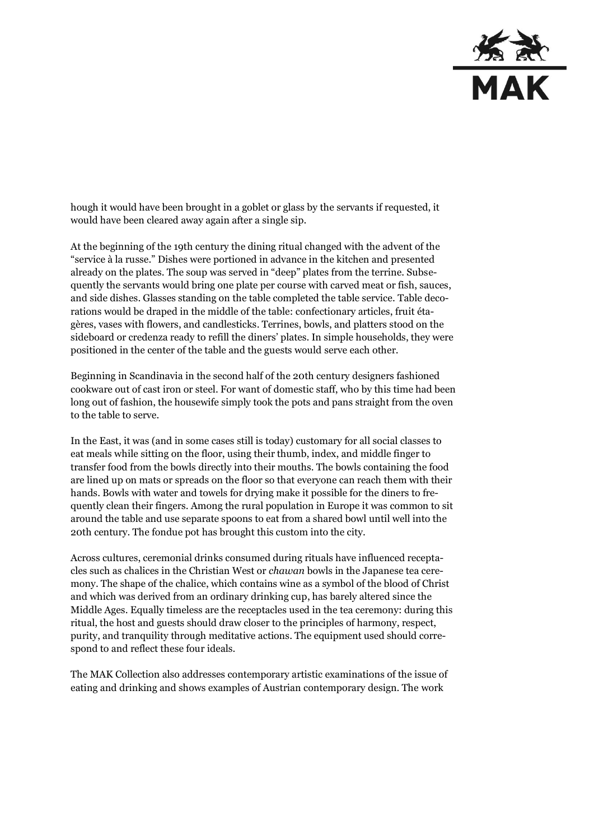

hough it would have been brought in a goblet or glass by the servants if requested, it would have been cleared away again after a single sip.

At the beginning of the 19th century the dining ritual changed with the advent of the "service à la russe." Dishes were portioned in advance in the kitchen and presented already on the plates. The soup was served in "deep" plates from the terrine. Subsequently the servants would bring one plate per course with carved meat or fish, sauces, and side dishes. Glasses standing on the table completed the table service. Table decorations would be draped in the middle of the table: confectionary articles, fruit étagères, vases with flowers, and candlesticks. Terrines, bowls, and platters stood on the sideboard or credenza ready to refill the diners' plates. In simple households, they were positioned in the center of the table and the guests would serve each other.

Beginning in Scandinavia in the second half of the 20th century designers fashioned cookware out of cast iron or steel. For want of domestic staff, who by this time had been long out of fashion, the housewife simply took the pots and pans straight from the oven to the table to serve.

In the East, it was (and in some cases still is today) customary for all social classes to eat meals while sitting on the floor, using their thumb, index, and middle finger to transfer food from the bowls directly into their mouths. The bowls containing the food are lined up on mats or spreads on the floor so that everyone can reach them with their hands. Bowls with water and towels for drying make it possible for the diners to frequently clean their fingers. Among the rural population in Europe it was common to sit around the table and use separate spoons to eat from a shared bowl until well into the 20th century. The fondue pot has brought this custom into the city.

Across cultures, ceremonial drinks consumed during rituals have influenced receptacles such as chalices in the Christian West or *chawan* bowls in the Japanese tea ceremony. The shape of the chalice, which contains wine as a symbol of the blood of Christ and which was derived from an ordinary drinking cup, has barely altered since the Middle Ages. Equally timeless are the receptacles used in the tea ceremony: during this ritual, the host and guests should draw closer to the principles of harmony, respect, purity, and tranquility through meditative actions. The equipment used should correspond to and reflect these four ideals.

The MAK Collection also addresses contemporary artistic examinations of the issue of eating and drinking and shows examples of Austrian contemporary design. The work